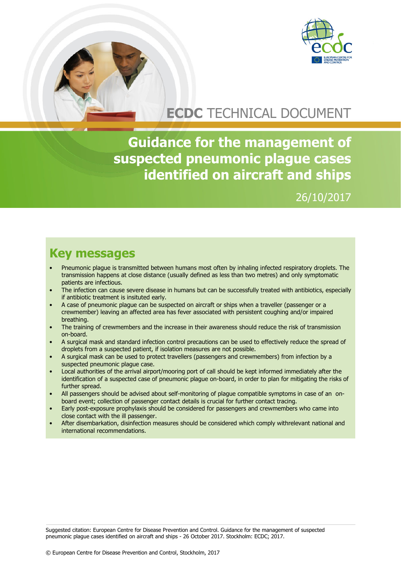

# **ECDC** TECHNICAL DOCUMENT

**Guidance for the management of suspected pneumonic plague cases identified on aircraft and ships**

### 26/10/2017

### **Key messages**

- Pneumonic plague is transmitted between humans most often by inhaling infected respiratory droplets. The transmission happens at close distance (usually defined as less than two metres) and only symptomatic patients are infectious.
- The infection can cause severe disease in humans but can be successfully treated with antibiotics, especially if antibiotic treatment is insituted early.
- A case of pneumonic plague can be suspected on aircraft or ships when a traveller (passenger or a crewmember) leaving an affected area has fever associated with persistent coughing and/or impaired breathing.
- The training of crewmembers and the increase in their awareness should reduce the risk of transmission on-board.
- A surgical mask and standard infection control precautions can be used to effectively reduce the spread of droplets from a suspected patient, if isolation measures are not possible.
- A surgical mask can be used to protect travellers (passengers and crewmembers) from infection by a suspected pneumonic plague case.
- Local authorities of the arrival airport/mooring port of call should be kept informed immediately after the identification of a suspected case of pneumonic plague on-board, in order to plan for mitigating the risks of further spread.
- All passengers should be advised about self-monitoring of plague compatible symptoms in case of an onboard event; collection of passenger contact details is crucial for further contact tracing.
- Early post-exposure prophylaxis should be considered for passengers and crewmembers who came into close contact with the ill passenger.
- After disembarkation, disinfection measures should be considered which comply withrelevant national and international recommendations.

Suggested citation: European Centre for Disease Prevention and Control. Guidance for the management of suspected pneumonic plague cases identified on aircraft and ships - 26 October 2017. Stockholm: ECDC; 2017.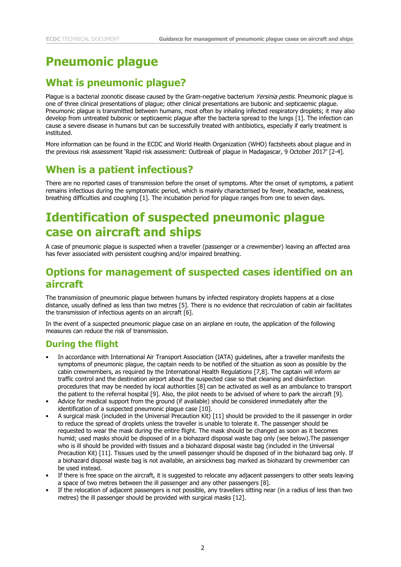## **Pneumonic plague**

### **What is pneumonic plague?**

Plague is a bacterial zoonotic disease caused by the Gram-negative bacterium Yersinia pestis. Pneumonic plague is one of three clinical presentations of plague; other clinical presentations are bubonic and septicaemic plague. Pneumonic plague is transmitted between humans, most often by inhaling infected respiratory droplets; it may also develop from untreated bubonic or septicaemic plague after the bacteria spread to the lungs [1]. The infection can cause a severe disease in humans but can be successfully treated with antibiotics, especially if early treatment is instituted.

More information can be found in the ECDC and World Health Organization (WHO) factsheets about plague and in the previous risk assessment 'Rapid risk assessment: Outbreak of plague in Madagascar, 9 October 2017' [2-4].

### **When is a patient infectious?**

There are no reported cases of transmission before the onset of symptoms. After the onset of symptoms, a patient remains infectious during the symptomatic period, which is mainly characterised by fever, headache, weakness, breathing difficulties and coughing [1]. The incubation period for plague ranges from one to seven days.

## **Identification of suspected pneumonic plague case on aircraft and ships**

A case of pneumonic plague is suspected when a traveller (passenger or a crewmember) leaving an affected area has fever associated with persistent coughing and/or impaired breathing.

### **Options for management of suspected cases identified on an aircraft**

The transmission of pneumonic plague between humans by infected respiratory droplets happens at a close distance, usually defined as less than two metres [5]. There is no evidence that recirculation of cabin air facilitates the transmission of infectious agents on an aircraft [6].

In the event of a suspected pneumonic plague case on an airplane en route, the application of the following measures can reduce the risk of transmission.

#### **During the flight**

- In accordance with International Air Transport Association (IATA) guidelines, after a traveller manifests the symptoms of pneumonic plague, the captain needs to be notified of the situation as soon as possible by the cabin crewmembers, as required by the International Health Regulations [7,8]. The captain will inform air traffic control and the destination airport about the suspected case so that cleaning and disinfection procedures that may be needed by local authorities [8] can be activated as well as an ambulance to transport the patient to the referral hospital [9]. Also, the pilot needs to be advised of where to park the aircraft [9].
- Advice for medical support from the ground (if available) should be considered immediately after the identification of a suspected pneumonic plague case [10].
- A surgical mask (included in the Universal Precaution Kit) [11] should be provided to the ill passenger in order to reduce the spread of droplets unless the traveller is unable to tolerate it. The passenger should be requested to wear the mask during the entire flight. The mask should be changed as soon as it becomes humid; used masks should be disposed of in a biohazard disposal waste bag only (see below).The passenger who is ill should be provided with tissues and a biohazard disposal waste bag (included in the Universal Precaution Kit) [11]. Tissues used by the unwell passenger should be disposed of in the biohazard bag only. If a biohazard disposal waste bag is not available, an airsickness bag marked as biohazard by crewmember can be used instead.
- If there is free space on the aircraft, it is suggested to relocate any adjacent passengers to other seats leaving a space of two metres between the ill passenger and any other passengers [8].
- If the relocation of adjacent passengers is not possible, any travellers sitting near (in a radius of less than two metres) the ill passenger should be provided with surgical masks [12].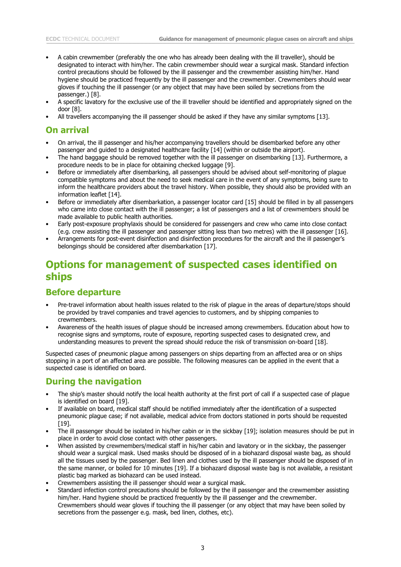- A cabin crewmember (preferably the one who has already been dealing with the ill traveller), should be designated to interact with him/her. The cabin crewmember should wear a surgical mask. Standard infection control precautions should be followed by the ill passenger and the crewmember assisting him/her. Hand hygiene should be practiced frequently by the ill passenger and the crewmember. Crewmembers should wear gloves if touching the ill passenger (or any object that may have been soiled by secretions from the passenger.) [8].
- A specific lavatory for the exclusive use of the ill traveller should be identified and appropriately signed on the door [8].
- All travellers accompanying the ill passenger should be asked if they have any similar symptoms [13].

#### **On arrival**

- On arrival, the ill passenger and his/her accompanying travellers should be disembarked before any other passenger and guided to a designated healthcare facility [14] (within or outside the airport).
- The hand baggage should be removed together with the ill passenger on disembarking [13]. Furthermore, a procedure needs to be in place for obtaining checked luggage [9].
- Before or immediately after disembarking, all passengers should be advised about self-monitoring of plague compatible symptoms and about the need to seek medical care in the event of any symptoms, being sure to inform the healthcare providers about the travel history. When possible, they should also be provided with an information leaflet [14].
- Before or immediately after disembarkation, a passenger locator card [15] should be filled in by all passengers who came into close contact with the ill passenger; a list of passengers and a list of crewmembers should be made available to public health authorities.
- Early post-exposure prophylaxis should be considered for passengers and crew who came into close contact (e.g. crew assisting the ill passenger and passenger sitting less than two metres) with the ill passenger [16].
- Arrangements for post-event disinfection and disinfection procedures for the aircraft and the ill passenger's belongings should be considered after disembarkation [17].

### **Options for management of suspected cases identified on ships**

#### **Before departure**

- Pre-travel information about health issues related to the risk of plague in the areas of departure/stops should be provided by travel companies and travel agencies to customers, and by shipping companies to crewmembers.
- Awareness of the health issues of plague should be increased among crewmembers. Education about how to recognise signs and symptoms, route of exposure, reporting suspected cases to designated crew, and understanding measures to prevent the spread should reduce the risk of transmission on-board [18].

Suspected cases of pneumonic plague among passengers on ships departing from an affected area or on ships stopping in a port of an affected area are possible. The following measures can be applied in the event that a suspected case is identified on board.

#### **During the navigation**

- The ship's master should notify the local health authority at the first port of call if a suspected case of plague is identified on board [19].
- If available on board, medical staff should be notified immediately after the identification of a suspected pneumonic plague case; if not available, medical advice from doctors stationed in ports should be requested [19].
- The ill passenger should be isolated in his/her cabin or in the sickbay [19]; isolation measures should be put in place in order to avoid close contact with other passengers.
- When assisted by crewmembers/medical staff in his/her cabin and lavatory or in the sickbay, the passenger should wear a surgical mask. Used masks should be disposed of in a biohazard disposal waste bag, as should all the tissues used by the passenger. Bed linen and clothes used by the ill passenger should be disposed of in the same manner, or boiled for 10 minutes [19]. If a biohazard disposal waste bag is not available, a resistant plastic bag marked as biohazard can be used instead.
- Crewmembers assisting the ill passenger should wear a surgical mask.
- Standard infection control precautions should be followed by the ill passenger and the crewmember assisting him/her. Hand hygiene should be practiced frequently by the ill passenger and the crewmember. Crewmembers should wear gloves if touching the ill passenger (or any object that may have been soiled by secretions from the passenger e.g. mask, bed linen, clothes, etc).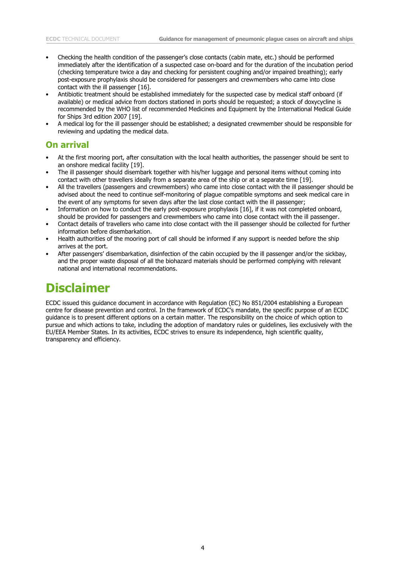- Checking the health condition of the passenger's close contacts (cabin mate, etc.) should be performed immediately after the identification of a suspected case on-board and for the duration of the incubation period (checking temperature twice a day and checking for persistent coughing and/or impaired breathing); early post-exposure prophylaxis should be considered for passengers and crewmembers who came into close contact with the ill passenger [16].
- Antibiotic treatment should be established immediately for the suspected case by medical staff onboard (if available) or medical advice from doctors stationed in ports should be requested; a stock of doxycycline is recommended by the WHO list of recommended Medicines and Equipment by the International Medical Guide for Ships 3rd edition 2007 [19].
- A medical log for the ill passenger should be established; a designated crewmember should be responsible for reviewing and updating the medical data.

#### **On arrival**

- At the first mooring port, after consultation with the local health authorities, the passenger should be sent to an onshore medical facility [19].
- The ill passenger should disembark together with his/her luggage and personal items without coming into contact with other travellers ideally from a separate area of the ship or at a separate time [19].
- All the travellers (passengers and crewmembers) who came into close contact with the ill passenger should be advised about the need to continue self-monitoring of plague compatible symptoms and seek medical care in the event of any symptoms for seven days after the last close contact with the ill passenger;
- Information on how to conduct the early post-exposure prophylaxis [16], if it was not completed onboard, should be provided for passengers and crewmembers who came into close contact with the ill passenger.
- Contact details of travellers who came into close contact with the ill passenger should be collected for further information before disembarkation.
- Health authorities of the mooring port of call should be informed if any support is needed before the ship arrives at the port.
- After passengers' disembarkation, disinfection of the cabin occupied by the ill passenger and/or the sickbay, and the proper waste disposal of all the biohazard materials should be performed complying with relevant national and international recommendations.

## **Disclaimer**

ECDC issued this guidance document in accordance with Regulation (EC) No 851/2004 establishing a European centre for disease prevention and control. In the framework of ECDC's mandate, the specific purpose of an ECDC guidance is to present different options on a certain matter. The responsibility on the choice of which option to pursue and which actions to take, including the adoption of mandatory rules or guidelines, lies exclusively with the EU/EEA Member States. In its activities, ECDC strives to ensure its independence, high scientific quality, transparency and efficiency.